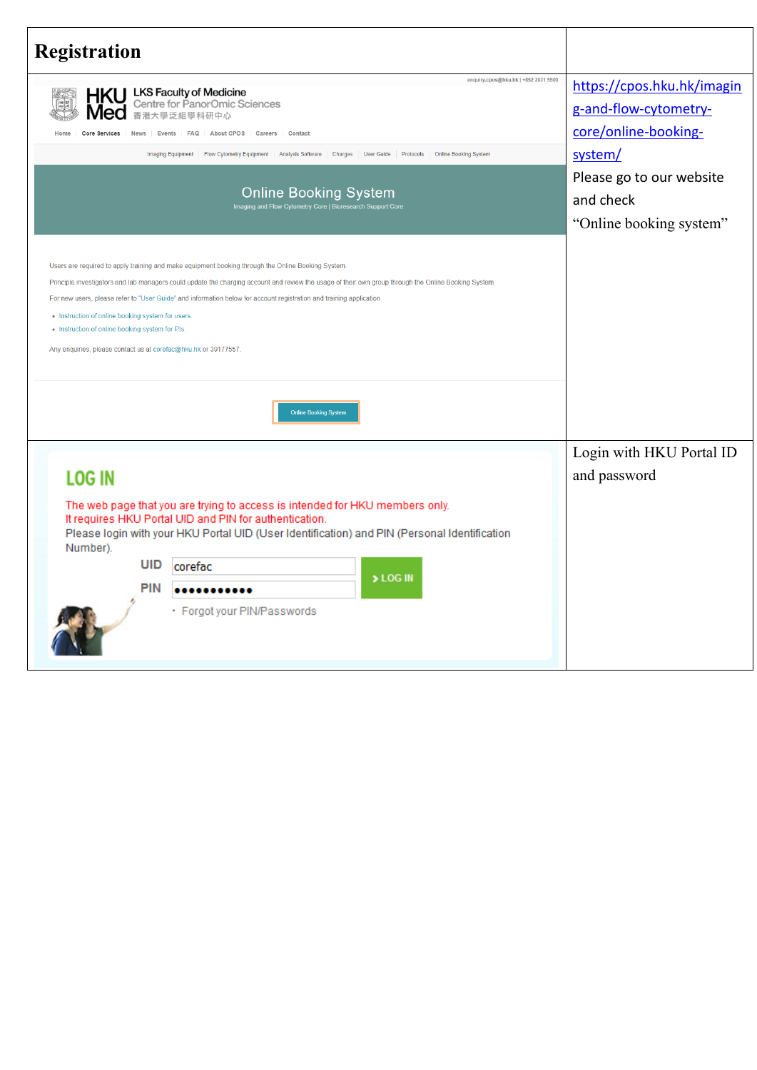| <b>Registration</b>                                                                                                                                                                                                                                                                                                                                                                                                                                                                                                                                          |                                                                                                                                                            |
|--------------------------------------------------------------------------------------------------------------------------------------------------------------------------------------------------------------------------------------------------------------------------------------------------------------------------------------------------------------------------------------------------------------------------------------------------------------------------------------------------------------------------------------------------------------|------------------------------------------------------------------------------------------------------------------------------------------------------------|
| enquiry.cpos@hku.hk   +852 2831 5500<br><b>LKS Faculty of Medicine</b><br>Centre for PanorOmic Sciences<br>香港大學泛組學科研中心<br>Core Services<br><b>News</b><br><b>FAQ</b><br>About CPOS<br>Careers<br>Contact<br>Events<br><b>Imaging Equipment</b><br>Flow Cytometry Equipment Analysis Software Charges<br><b>User Guide</b><br>Protocols<br><b>Online Booking System</b><br><b>Online Booking System</b><br>Imaging and Flow Cytometry Core   Bioresearch Support Core                                                                                         | https://cpos.hku.hk/imagin<br>g-and-flow-cytometry-<br>core/online-booking-<br>system/<br>Please go to our website<br>and check<br>"Online booking system" |
| Users are required to apply training and make equipment booking through the Online Booking System.<br>Principle investigators and lab managers could update the charging account and review the usage of their own group through the Online Booking System.<br>For new users, please refer to "User Guide" and information below for account registration and training application.<br>• Instruction of online booking system for users<br>. Instruction of online booking system for PIs.<br>Any enquiries, please contact us at corefac@hku.hk or 39177557 |                                                                                                                                                            |
| <b>Online Booking System</b><br><b>LOG IN</b>                                                                                                                                                                                                                                                                                                                                                                                                                                                                                                                | Login with HKU Portal ID<br>and password                                                                                                                   |
| The web page that you are trying to access is intended for HKU members only.<br>It requires HKU Portal UID and PIN for authentication.<br>Please login with your HKU Portal UID (User Identification) and PIN (Personal Identification<br>Number).<br>UID<br>corefac<br>> LOG IN<br><b>PIN</b><br><br>· Forgot your PIN/Passwords                                                                                                                                                                                                                            |                                                                                                                                                            |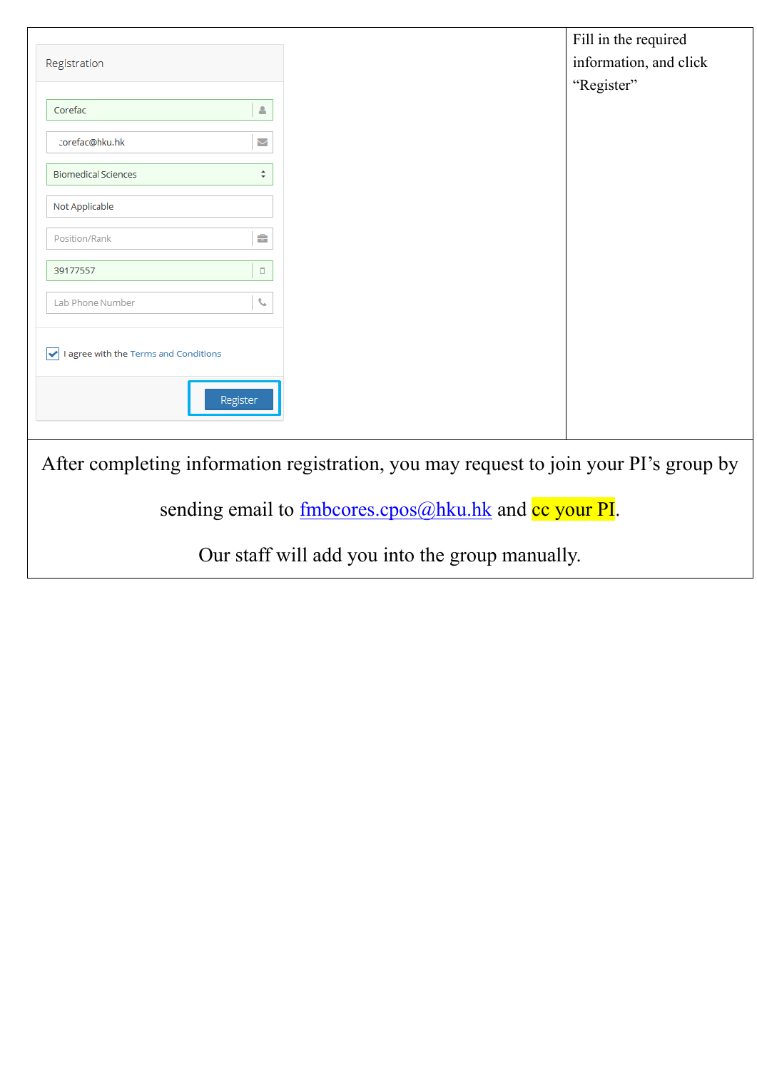| Registration                                                                          |                    |
|---------------------------------------------------------------------------------------|--------------------|
|                                                                                       |                    |
| Corefac                                                                               | å                  |
| corefac@hku.hk                                                                        | Μ                  |
| <b>Biomedical Sciences</b>                                                            | $\hat{\mathbb{I}}$ |
| Not Applicable                                                                        |                    |
| Position/Rank                                                                         | ÷                  |
| 39177557                                                                              | о                  |
| Lab Phone Number                                                                      | ¢,                 |
| I agree with the Terms and Conditions                                                 |                    |
|                                                                                       |                    |
|                                                                                       | Register           |
|                                                                                       |                    |
| After completing information registration, you may request to join your PI's group by |                    |
|                                                                                       |                    |

sending email to **fmbcores.cpos@hku.hk** and cc your PI.

Our staff will add you into the group manually.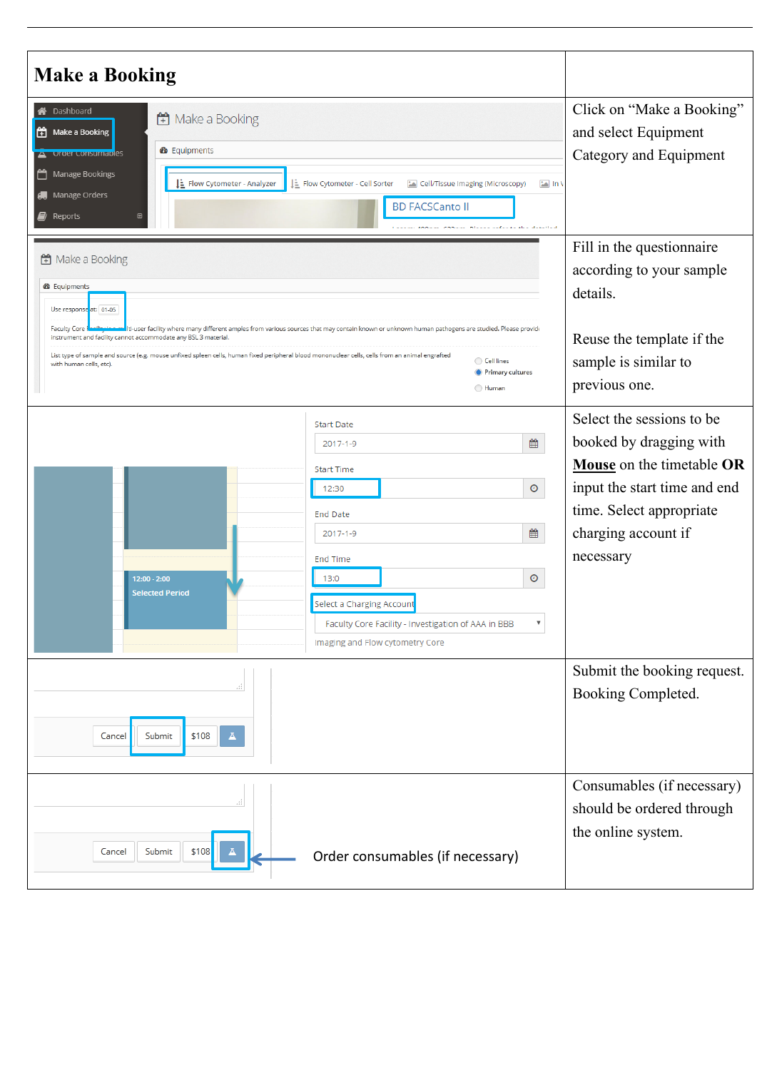| <b>Make a Booking</b>                                                                                                                                                                                                                                                                                                                                                                                                                                                                                                                                    |                                                                                                                                                                                   |
|----------------------------------------------------------------------------------------------------------------------------------------------------------------------------------------------------------------------------------------------------------------------------------------------------------------------------------------------------------------------------------------------------------------------------------------------------------------------------------------------------------------------------------------------------------|-----------------------------------------------------------------------------------------------------------------------------------------------------------------------------------|
| Dashboard<br>Make a Booking<br>$\left  \begin{matrix} 1 \\ 1 \end{matrix} \right $ Make a Booking<br><b>®</b> Equipments<br>Order Consumables<br>Manage Bookings<br>m<br>Flow Cytometer - Cell Sorter<br>E Flow Cytometer - Analyzer<br>$\boxed{\phantom{1}}$ In V<br>Cell/Tissue Imaging (Microscopy)<br><b>de</b> Manage Orders<br><b>BD FACSCanto II</b><br>Reports<br>والمرافع والمستعاد والمستعار والمتعاونة والمتعاون                                                                                                                              | Click on "Make a Booking"<br>and select Equipment<br>Category and Equipment                                                                                                       |
| H Make a Booking<br><b>28</b> Equipments<br>Use response at: 01-05<br><b>Faculty Core</b><br>Iti-user facility where many different amples from various sources that may contain known or unknown human pathogens are studied. Please provide<br>instrument and facility cannot accommodate any BSL 3 material.<br>List type of sample and source (e.g. mouse unfixed spleen cells, human fixed peripheral blood mononuclear cells, cells from an animal engrafted<br>Cell lines<br>with human cells, etc).<br><b>O</b> Primary cultures<br><b>Human</b> | Fill in the questionnaire<br>according to your sample<br>details.<br>Reuse the template if the<br>sample is similar to<br>previous one.                                           |
| <b>Start Date</b><br>₩<br>2017-1-9<br><b>Start Time</b><br>$\odot$<br>12:30<br><b>End Date</b><br>₩<br>2017-1-9<br><b>End Time</b><br>$\odot$<br>$12:00 - 2:00$<br>13:0<br><b>Selected Period</b><br>Select a Charging Account<br>Faculty Core Facility - Investigation of AAA in BBB<br>$\boldsymbol{\mathrm{v}}$<br>Imaging and Flow cytometry Core                                                                                                                                                                                                    | Select the sessions to be<br>booked by dragging with<br>Mouse on the timetable OR<br>input the start time and end<br>time. Select appropriate<br>charging account if<br>necessary |
| \$108<br>Submit<br>Cancel                                                                                                                                                                                                                                                                                                                                                                                                                                                                                                                                | Submit the booking request.<br>Booking Completed.                                                                                                                                 |
| Submit<br>\$108<br>Cancel<br>ᅀ<br>Order consumables (if necessary)                                                                                                                                                                                                                                                                                                                                                                                                                                                                                       | Consumables (if necessary)<br>should be ordered through<br>the online system.                                                                                                     |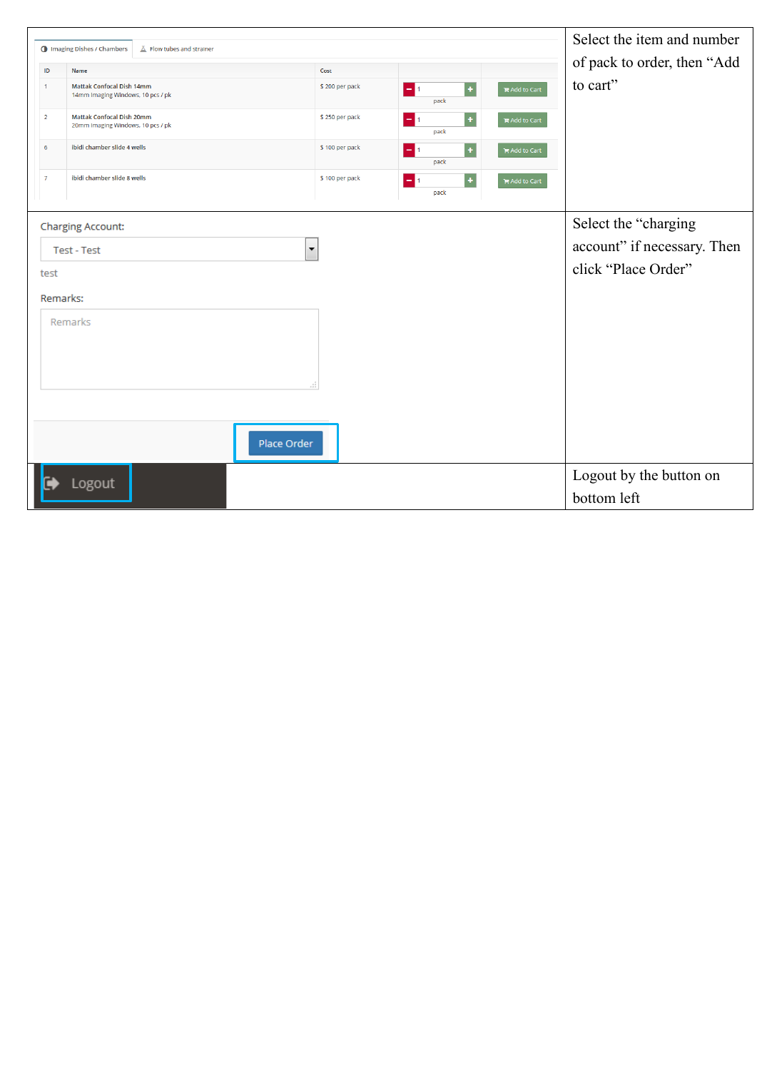|                    | <b>I</b> Imaging Dishes / Chambers<br>$\Lambda$ Flow tubes and strainer |                        |                                       |                      | Select the item and number  |
|--------------------|-------------------------------------------------------------------------|------------------------|---------------------------------------|----------------------|-----------------------------|
|                    |                                                                         |                        |                                       |                      | of pack to order, then "Add |
| ID<br>$\mathbf{1}$ | Name<br><b>Mattak Confocal Dish 14mm</b>                                | Cost<br>\$200 per pack |                                       |                      | to cart"                    |
|                    | 14mm Imaging Windows, 10 pcs / pk                                       |                        | $\ddot{\phantom{1}}$<br>$-11$<br>pack | $H$ Add to Cart      |                             |
| $\overline{2}$     | <b>Mattak Confocal Dish 20mm</b>                                        | \$250 per pack         | $\pm$<br>$-11$                        | <b>语 Add to Cart</b> |                             |
|                    | 20mm Imaging Windows, 10 pcs / pk                                       |                        | pack                                  |                      |                             |
| 6                  | ibidi chamber slide 4 wells                                             | \$100 per pack         | $\ddot{}$<br>$-1$<br>pack             | $H$ Add to Cart      |                             |
| $\overline{7}$     | ibidi chamber slide 8 wells                                             | \$100 per pack         | $\ddot{}$                             |                      |                             |
|                    |                                                                         |                        | $-11$<br>pack                         | $H$ Add to Cart      |                             |
|                    |                                                                         |                        |                                       |                      |                             |
|                    | <b>Charging Account:</b>                                                |                        |                                       |                      | Select the "charging        |
|                    | <b>Test - Test</b>                                                      | $\blacktriangledown$   |                                       |                      | account" if necessary. Then |
| test               |                                                                         |                        |                                       |                      | click "Place Order"         |
|                    |                                                                         |                        |                                       |                      |                             |
|                    | Remarks:                                                                |                        |                                       |                      |                             |
|                    | Remarks                                                                 |                        |                                       |                      |                             |
|                    |                                                                         |                        |                                       |                      |                             |
|                    |                                                                         |                        |                                       |                      |                             |
|                    |                                                                         | лî                     |                                       |                      |                             |
|                    |                                                                         |                        |                                       |                      |                             |
|                    |                                                                         |                        |                                       |                      |                             |
|                    | Place Order                                                             |                        |                                       |                      |                             |
|                    |                                                                         |                        |                                       |                      | Logout by the button on     |
|                    | Logout                                                                  |                        |                                       |                      | bottom left                 |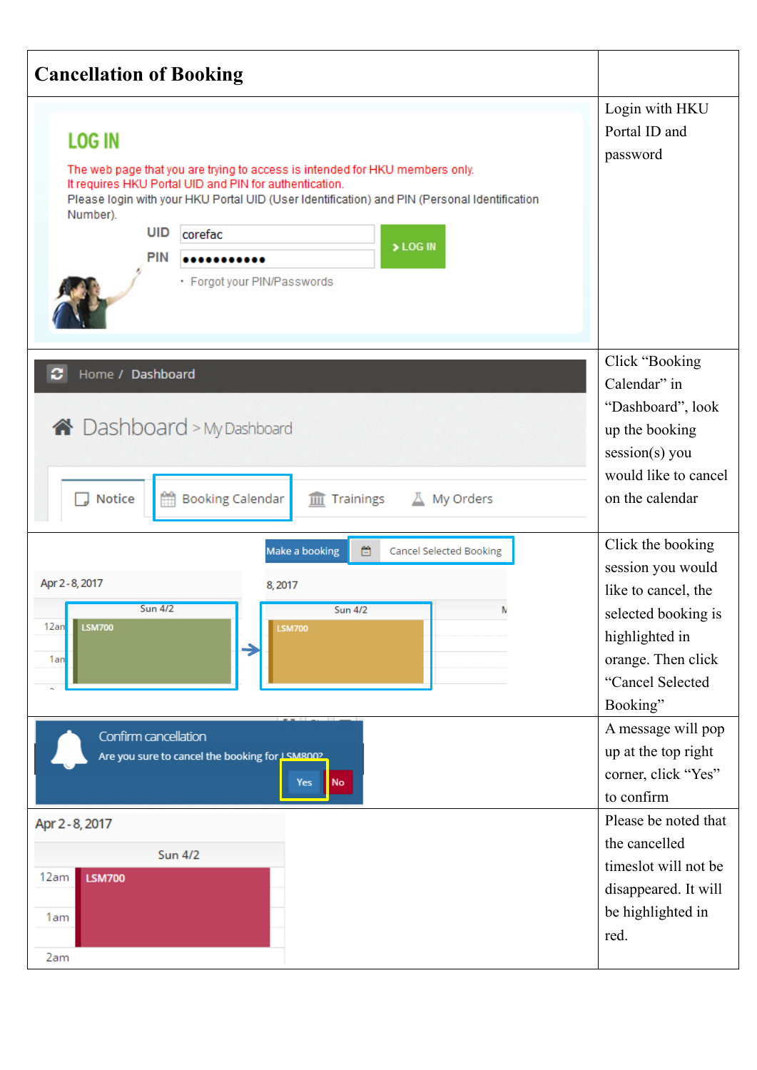| <b>Cancellation of Booking</b>                                                                                                                                                                                                                                                                                                                            |                                                                                                                                                                         |
|-----------------------------------------------------------------------------------------------------------------------------------------------------------------------------------------------------------------------------------------------------------------------------------------------------------------------------------------------------------|-------------------------------------------------------------------------------------------------------------------------------------------------------------------------|
| <b>LOG IN</b><br>The web page that you are trying to access is intended for HKU members only.<br>It requires HKU Portal UID and PIN for authentication.<br>Please login with your HKU Portal UID (User Identification) and PIN (Personal Identification<br>Number).<br><b>UID</b><br>corefac<br>> LOG IN<br><b>PIN</b><br><br>· Forgot your PIN/Passwords | Login with HKU<br>Portal ID and<br>password                                                                                                                             |
| c<br>Home / Dashboard<br>A Dashboard > My Dashboard<br>Notice<br><b>Booking Calendar</b><br>皿<br>Trainings<br>┻<br>My Orders                                                                                                                                                                                                                              | Click "Booking"<br>Calendar" in<br>"Dashboard", look<br>up the booking<br>session(s) you<br>would like to cancel<br>on the calendar                                     |
| 首<br>Make a booking<br><b>Cancel Selected Booking</b><br>Apr 2 - 8, 2017<br>8,2017<br><b>Sun 4/2</b><br><b>Sun 4/2</b><br>N<br>12an<br><b>LSM700</b><br><b>LSM700</b><br>1an                                                                                                                                                                              | Click the booking<br>session you would<br>like to cancel, the<br>selected booking is<br>highlighted in<br>orange. Then click<br>"Cancel Selected<br>Booking"            |
| Confirm cancellation<br>Are you sure to cancel the booking for LSM800?<br>No<br>Yes<br>Apr 2 - 8, 2017<br><b>Sun 4/2</b><br>12am<br><b>LSM700</b>                                                                                                                                                                                                         | A message will pop<br>up at the top right<br>corner, click "Yes"<br>to confirm<br>Please be noted that<br>the cancelled<br>timeslot will not be<br>disappeared. It will |
| 1am<br>2am                                                                                                                                                                                                                                                                                                                                                | be highlighted in<br>red.                                                                                                                                               |